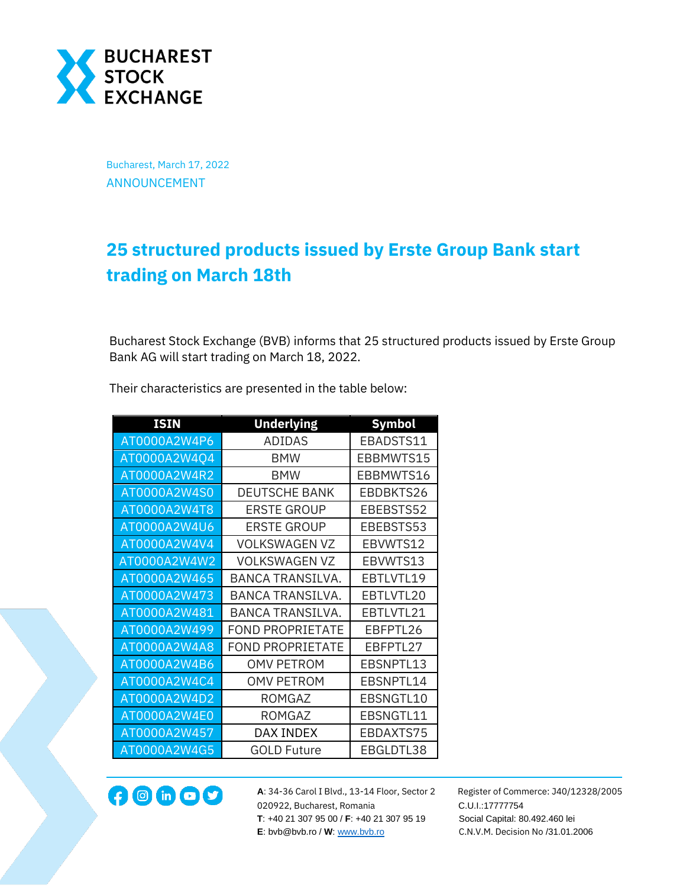

Bucharest, March 17, 2022 ANNOUNCEMENT

## **25 structured products issued by Erste Group Bank start trading on March 18th**

Bucharest Stock Exchange (BVB) informs that 25 structured products issued by Erste Group Bank AG will start trading on March 18, 2022.

| <b>ISIN</b>  | <b>Underlying</b>       | <b>Symbol</b> |
|--------------|-------------------------|---------------|
| AT0000A2W4P6 | ADIDAS                  | EBADSTS11     |
| AT0000A2W4Q4 | <b>BMW</b>              | EBBMWTS15     |
| AT0000A2W4R2 | <b>BMW</b>              | EBBMWTS16     |
| AT0000A2W4S0 | <b>DEUTSCHE BANK</b>    | EBDBKTS26     |
| AT0000A2W4T8 | <b>ERSTE GROUP</b>      | EBEBSTS52     |
| AT0000A2W4U6 | <b>ERSTE GROUP</b>      | EBEBSTS53     |
| AT0000A2W4V4 | <b>VOLKSWAGEN VZ</b>    | EBVWTS12      |
| AT0000A2W4W2 | <b>VOLKSWAGEN VZ</b>    | EBVWTS13      |
| AT0000A2W465 | BANCA TRANSILVA.        | EBTLVTL19     |
| AT0000A2W473 | <b>BANCA TRANSILVA.</b> | EBTLVTL20     |
| AT0000A2W481 | <b>BANCA TRANSILVA.</b> | EBTLVTL21     |
| AT0000A2W499 | <b>FOND PROPRIETATE</b> | EBFPTL26      |
| AT0000A2W4A8 | <b>FOND PROPRIETATE</b> | EBFPTL27      |
| AT0000A2W4B6 | <b>OMV PETROM</b>       | EBSNPTL13     |
| AT0000A2W4C4 | <b>OMV PETROM</b>       | EBSNPTL14     |
| AT0000A2W4D2 | <b>ROMGAZ</b>           | EBSNGTL10     |
| AT0000A2W4E0 | ROMGAZ                  | EBSNGTL11     |
| AT0000A2W457 | DAX INDEX               | EBDAXTS75     |
| AT0000A2W4G5 | <b>GOLD Future</b>      | EBGLDTL38     |

Their characteristics are presented in the table below:



**A**: 34-36 Carol I Blvd., 13-14 Floor, Sector 2 Register of Commerce: J40/12328/2005 **12000 CD CONF A**: 34-36 Carol I Blvd., 13-14 Floor, Sector 2 Register of Comm<br>020922, Bucharest, Romania C.U.I.:17777754  **T**: +40 21 307 95 00 / **F**: +40 21 307 95 19 Social Capital: 80.492.460 lei **E**: bvb@bvb.ro / **W**[: www.bvb.ro](http://www.bvb.ro/) C.N.V.M. Decision No /31.01.2006